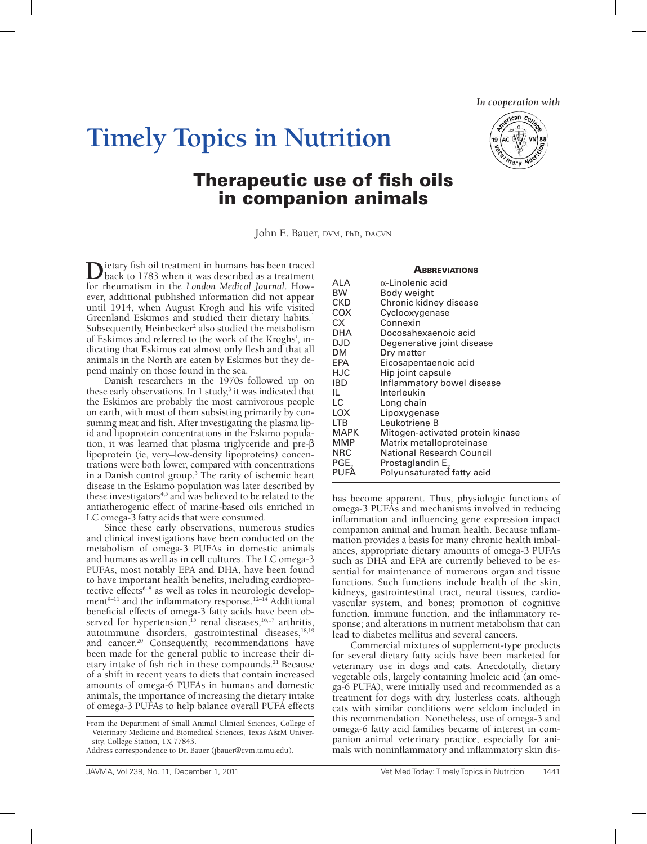*In cooperation with*

# **Timely Topics in Nutrition**



# Therapeutic use of fish oils in companion animals

John E. Bauer, DVM, PhD, DACVN

**D**ietary fish oil treatment in humans has been traced back to 1783 when it was described as a treatment for rheumatism in the *London Medical Journal*. However, additional published information did not appear until 1914, when August Krogh and his wife visited Greenland Eskimos and studied their dietary habits.<sup>1</sup> Subsequently, Heinbecker<sup>2</sup> also studied the metabolism of Eskimos and referred to the work of the Kroghs', indicating that Eskimos eat almost only flesh and that all animals in the North are eaten by Eskimos but they depend mainly on those found in the sea.

Danish researchers in the 1970s followed up on these early observations. In  $1$  study, $3$  it was indicated that the Eskimos are probably the most carnivorous people on earth, with most of them subsisting primarily by consuming meat and fish. After investigating the plasma lipid and lipoprotein concentrations in the Eskimo population, it was learned that plasma triglyceride and pre-β lipoprotein (ie, very–low-density lipoproteins) concentrations were both lower, compared with concentrations in a Danish control group.3 The rarity of ischemic heart disease in the Eskimo population was later described by these investigators<sup>4,5</sup> and was believed to be related to the antiatherogenic effect of marine-based oils enriched in LC omega-3 fatty acids that were consumed.

Since these early observations, numerous studies and clinical investigations have been conducted on the metabolism of omega-3 PUFAs in domestic animals and humans as well as in cell cultures. The LC omega-3 PUFAs, most notably EPA and DHA, have been found to have important health benefits, including cardioprotective effects<sup>6-8</sup> as well as roles in neurologic development<sup>9-11</sup> and the inflammatory response.<sup>12-14</sup> Additional beneficial effects of omega-3 fatty acids have been observed for hypertension,<sup>15</sup> renal diseases,<sup>16,17</sup> arthritis, autoimmune disorders, gastrointestinal diseases,<sup>18,19</sup> and cancer.<sup>20</sup> Consequently, recommendations have been made for the general public to increase their dietary intake of fish rich in these compounds.<sup>21</sup> Because of a shift in recent years to diets that contain increased amounts of omega-6 PUFAs in humans and domestic animals, the importance of increasing the dietary intake of omega-3 PUFAs to help balance overall PUFA effects

#### **ABBREVIATIONS**

| ALA<br>BW<br>CKD<br>COX<br>СX<br><b>DHA</b><br>DJD<br>DM<br>EPA<br>HJC<br>IBD<br>IL.<br>LC.<br><b>LOX</b><br><b>LTB</b><br><b>MAPK</b><br>MMP<br>NRC<br>PGE | Body weight<br>Chronic kidney disease<br>Cyclooxygenase<br>Connexin<br>Docosahexaenoic acid<br>Degenerative joint disease<br>Dry matter<br>Eicosapentaenoic acid<br>Hip joint capsule<br>Inflammatory bowel disease<br>Interleukin<br>Long chain<br>Lipoxygenase<br>Leukotriene B<br>Mitogen-activated protein kinase<br>Matrix metalloproteinase<br>National Research Council<br>Prostaglandin E, |
|-------------------------------------------------------------------------------------------------------------------------------------------------------------|----------------------------------------------------------------------------------------------------------------------------------------------------------------------------------------------------------------------------------------------------------------------------------------------------------------------------------------------------------------------------------------------------|
| PUFA                                                                                                                                                        | Polyunsaturated fatty acid                                                                                                                                                                                                                                                                                                                                                                         |

has become apparent. Thus, physiologic functions of omega-3 PUFAs and mechanisms involved in reducing inflammation and influencing gene expression impact companion animal and human health. Because inflammation provides a basis for many chronic health imbalances, appropriate dietary amounts of omega-3 PUFAs such as DHA and EPA are currently believed to be essential for maintenance of numerous organ and tissue functions. Such functions include health of the skin, kidneys, gastrointestinal tract, neural tissues, cardiovascular system, and bones; promotion of cognitive function, immune function, and the inflammatory response; and alterations in nutrient metabolism that can lead to diabetes mellitus and several cancers.

Commercial mixtures of supplement-type products for several dietary fatty acids have been marketed for veterinary use in dogs and cats. Anecdotally, dietary vegetable oils, largely containing linoleic acid (an omega-6 PUFA), were initially used and recommended as a treatment for dogs with dry, lusterless coats, although cats with similar conditions were seldom included in this recommendation. Nonetheless, use of omega-3 and omega-6 fatty acid families became of interest in companion animal veterinary practice, especially for animals with noninflammatory and inflammatory skin dis-

From the Department of Small Animal Clinical Sciences, College of Veterinary Medicine and Biomedical Sciences, Texas A&M University, College Station, TX 77843.

Address correspondence to Dr. Bauer (jbauer@cvm.tamu.edu).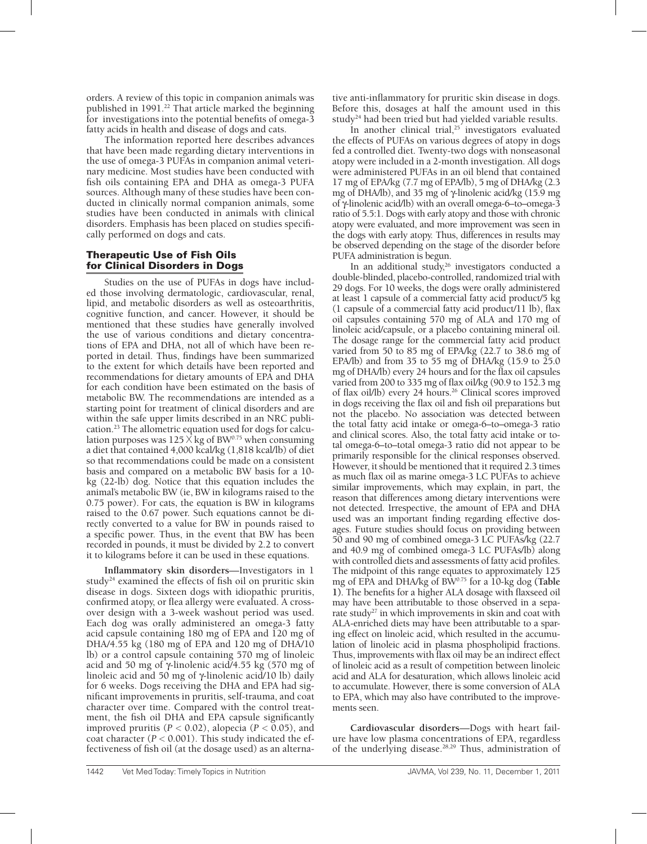orders. A review of this topic in companion animals was published in 1991.<sup>22</sup> That article marked the beginning for investigations into the potential benefits of omega- $\bar{3}$ fatty acids in health and disease of dogs and cats.

The information reported here describes advances that have been made regarding dietary interventions in the use of omega-3 PUFAs in companion animal veterinary medicine. Most studies have been conducted with fish oils containing EPA and DHA as omega-3 PUFA sources. Although many of these studies have been conducted in clinically normal companion animals, some studies have been conducted in animals with clinical disorders. Emphasis has been placed on studies specifically performed on dogs and cats.

# Therapeutic Use of Fish Oils for Clinical Disorders in Dogs

Studies on the use of PUFAs in dogs have included those involving dermatologic, cardiovascular, renal, lipid, and metabolic disorders as well as osteoarthritis, cognitive function, and cancer. However, it should be mentioned that these studies have generally involved the use of various conditions and dietary concentrations of EPA and DHA, not all of which have been reported in detail. Thus, findings have been summarized to the extent for which details have been reported and recommendations for dietary amounts of EPA and DHA for each condition have been estimated on the basis of metabolic BW. The recommendations are intended as a starting point for treatment of clinical disorders and are within the safe upper limits described in an NRC publication.23 The allometric equation used for dogs for calculation purposes was  $125 \times k$ g of BW<sup>0.75</sup> when consuming a diet that contained 4,000 kcal/kg (1,818 kcal/lb) of diet so that recommendations could be made on a consistent basis and compared on a metabolic BW basis for a 10 kg (22-lb) dog. Notice that this equation includes the animal's metabolic BW (ie, BW in kilograms raised to the 0.75 power). For cats, the equation is BW in kilograms raised to the 0.67 power. Such equations cannot be directly converted to a value for BW in pounds raised to a specific power. Thus, in the event that BW has been recorded in pounds, it must be divided by 2.2 to convert it to kilograms before it can be used in these equations.

**Inflammatory skin disorders**—Investigators in 1 study<sup>24</sup> examined the effects of fish oil on pruritic skin disease in dogs. Sixteen dogs with idiopathic pruritis, confirmed atopy, or flea allergy were evaluated. A crossover design with a 3-week washout period was used. Each dog was orally administered an omega-3 fatty acid capsule containing 180 mg of EPA and 120 mg of DHA/4.55 kg (180 mg of EPA and 120 mg of DHA/10 lb) or a control capsule containing 570 mg of linoleic acid and 50 mg of  $\gamma$ -linolenic acid $\overline{A}$ 4.55 kg (570 mg of linoleic acid and 50 mg of γ-linolenic acid/10 lb) daily for 6 weeks. Dogs receiving the DHA and EPA had significant improvements in pruritis, self-trauma, and coat character over time. Compared with the control treatment, the fish oil DHA and EPA capsule significantly improved pruritis  $(P < 0.02)$ , alopecia  $(P < 0.05)$ , and coat character  $(P < 0.001)$ . This study indicated the effectiveness of fish oil (at the dosage used) as an alterna-

tive anti-inflammatory for pruritic skin disease in dogs. Before this, dosages at half the amount used in this study<sup>24</sup> had been tried but had yielded variable results.

In another clinical trial, $25$  investigators evaluated the effects of PUFAs on various degrees of atopy in dogs fed a controlled diet. Twenty-two dogs with nonseasonal atopy were included in a 2-month investigation. All dogs were administered PUFAs in an oil blend that contained 17 mg of EPA/kg (7.7 mg of EPA/lb), 5 mg of DHA/kg (2.3 mg of DHA/lb), and 35 mg of γ-linolenic acid/kg (15.9 mg of γ-linolenic acid/lb) with an overall omega-6–to–omega-3 ratio of 5.5:1. Dogs with early atopy and those with chronic atopy were evaluated, and more improvement was seen in the dogs with early atopy. Thus, differences in results may be observed depending on the stage of the disorder before PUFA administration is begun.

In an additional study,<sup>26</sup> investigators conducted a double-blinded, placebo-controlled, randomized trial with 29 dogs. For 10 weeks, the dogs were orally administered at least 1 capsule of a commercial fatty acid product/5 kg (1 capsule of a commercial fatty acid product/11 lb), flax oil capsules containing 570 mg of ALA and 170 mg of linoleic acid/capsule, or a placebo containing mineral oil. The dosage range for the commercial fatty acid product varied from 50 to 85 mg of EPA/kg (22.7 to 38.6 mg of EPA/lb) and from 35 to 55 mg of DHA/kg (15.9 to 25.0 mg of DHA/lb) every 24 hours and for the flax oil capsules varied from 200 to 335 mg of flax oil/kg (90.9 to 152.3 mg of flax oil/lb) every 24 hours.<sup>26</sup> Clinical scores improved in dogs receiving the flax oil and fish oil preparations but not the placebo. No association was detected between the total fatty acid intake or omega-6–to–omega-3 ratio and clinical scores. Also, the total fatty acid intake or total omega-6–to–total omega-3 ratio did not appear to be primarily responsible for the clinical responses observed. However, it should be mentioned that it required 2.3 times as much flax oil as marine omega-3 LC PUFAs to achieve similar improvements, which may explain, in part, the reason that differences among dietary interventions were not detected. Irrespective, the amount of EPA and DHA used was an important finding regarding effective dosages. Future studies should focus on providing between 50 and 90 mg of combined omega-3 LC PUFAs/kg (22.7 and 40.9 mg of combined omega-3 LC PUFAs/lb) along with controlled diets and assessments of fatty acid profiles. The midpoint of this range equates to approximately 125 mg of EPA and DHA/kg of BW0.75 for a 10-kg dog **(Table 1)**. The benefits for a higher ALA dosage with flaxseed oil may have been attributable to those observed in a separate study<sup>27</sup> in which improvements in skin and coat with ALA-enriched diets may have been attributable to a sparing effect on linoleic acid, which resulted in the accumulation of linoleic acid in plasma phospholipid fractions. Thus, improvements with flax oil may be an indirect effect of linoleic acid as a result of competition between linoleic acid and ALA for desaturation, which allows linoleic acid to accumulate. However, there is some conversion of ALA to EPA, which may also have contributed to the improvements seen.

**Cardiovascular disorders**—Dogs with heart failure have low plasma concentrations of EPA, regardless of the underlying disease.28,29 Thus, administration of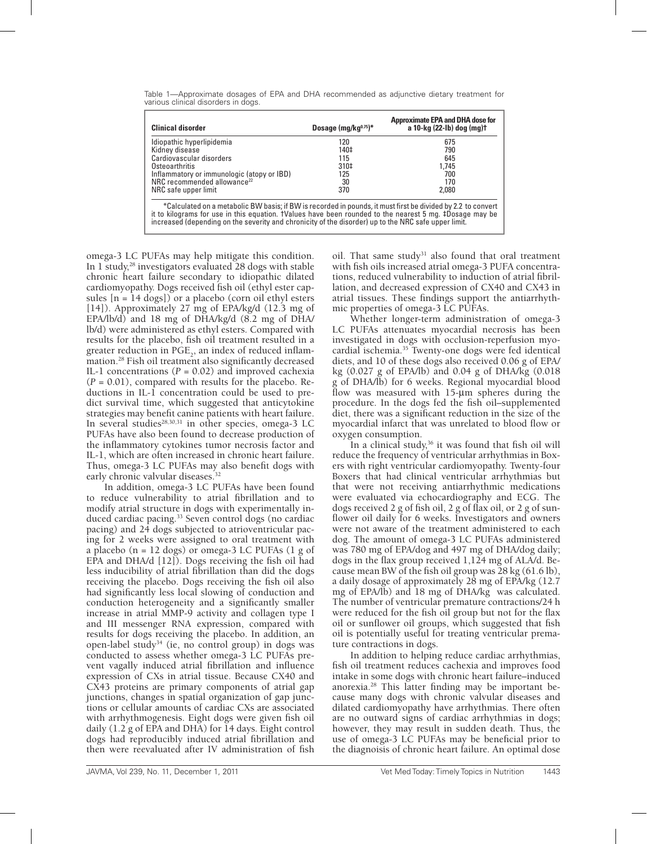| <b>Clinical disorder</b>                                                                                                                                                                                                                                                                                                        | Dosage $(mg/kg0.75)*$ | <b>Approximate EPA and DHA dose for</b><br>a 10-kg (22-lb) dog (mg)t |  |  |  |  |
|---------------------------------------------------------------------------------------------------------------------------------------------------------------------------------------------------------------------------------------------------------------------------------------------------------------------------------|-----------------------|----------------------------------------------------------------------|--|--|--|--|
| Idiopathic hyperlipidemia                                                                                                                                                                                                                                                                                                       | 120                   | 675                                                                  |  |  |  |  |
| Kidney disease                                                                                                                                                                                                                                                                                                                  | 140‡                  | 790                                                                  |  |  |  |  |
| Cardiovascular disorders                                                                                                                                                                                                                                                                                                        | 115                   | 645                                                                  |  |  |  |  |
| Osteoarthritis                                                                                                                                                                                                                                                                                                                  | 310‡                  | 1.745                                                                |  |  |  |  |
| Inflammatory or immunologic (atopy or IBD)                                                                                                                                                                                                                                                                                      | 125                   | 700                                                                  |  |  |  |  |
| NRC recommended allowance <sup>22</sup>                                                                                                                                                                                                                                                                                         | 30                    | 170                                                                  |  |  |  |  |
| NRC safe upper limit                                                                                                                                                                                                                                                                                                            | 370                   | 2.080                                                                |  |  |  |  |
| *Calculated on a metabolic BW basis; if BW is recorded in pounds, it must first be divided by 2.2 to convert<br>it to kilograms for use in this equation. TValues have been rounded to the nearest 5 mg. #Dosage may be<br>increased (depending on the severity and chronicity of the disorder) up to the NRC safe upper limit. |                       |                                                                      |  |  |  |  |

Table 1—Approximate dosages of EPA and DHA recommended as adjunctive dietary treatment for various clinical disorders in dogs.

omega-3 LC PUFAs may help mitigate this condition. In 1 study, $^{28}$  investigators evaluated 28 dogs with stable chronic heart failure secondary to idiopathic dilated cardiomyopathy. Dogs received fish oil (ethyl ester capsules [n = 14 dogs]) or a placebo (corn oil ethyl esters [14]). Approximately 27 mg of EPA/kg/d (12.3 mg of EPA/lb/d) and 18 mg of DHA/kg/d (8.2 mg of DHA/ lb/d) were administered as ethyl esters. Compared with results for the placebo, fish oil treatment resulted in a greater reduction in  $PGE$ <sub>2</sub>, an index of reduced inflammation.28 Fish oil treatment also significantly decreased IL-1 concentrations  $(P = 0.02)$  and improved cachexia  $(P = 0.01)$ , compared with results for the placebo. Reductions in IL-1 concentration could be used to predict survival time, which suggested that anticytokine strategies may benefit canine patients with heart failure. In several studies $28,30,31$  in other species, omega-3 LC PUFAs have also been found to decrease production of the inflammatory cytokines tumor necrosis factor and IL-1, which are often increased in chronic heart failure. Thus, omega-3 LC PUFAs may also benefit dogs with early chronic valvular diseases.<sup>32</sup>

In addition, omega-3 LC PUFAs have been found to reduce vulnerability to atrial fibrillation and to modify atrial structure in dogs with experimentally induced cardiac pacing.<sup>33</sup> Seven control dogs (no cardiac pacing) and 24 dogs subjected to atrioventricular pacing for 2 weeks were assigned to oral treatment with a placebo ( $n = 12$  dogs) or omega-3 LC PUFAs ( $1$  g of EPA and DHA/d [12]). Dogs receiving the fish oil had less inducibility of atrial fibrillation than did the dogs receiving the placebo. Dogs receiving the fish oil also had significantly less local slowing of conduction and conduction heterogeneity and a significantly smaller increase in atrial MMP-9 activity and collagen type I and III messenger RNA expression, compared with results for dogs receiving the placebo. In addition, an open-label study34 (ie, no control group) in dogs was conducted to assess whether omega-3 LC PUFAs prevent vagally induced atrial fibrillation and influence expression of CXs in atrial tissue. Because CX40 and CX43 proteins are primary components of atrial gap junctions, changes in spatial organization of gap junctions or cellular amounts of cardiac CXs are associated with arrhythmogenesis. Eight dogs were given fish oil daily (1.2 g of EPA and DHA) for 14 days. Eight control dogs had reproducibly induced atrial fibrillation and then were reevaluated after IV administration of fish

oil. That same study<sup>31</sup> also found that oral treatment with fish oils increased atrial omega-3 PUFA concentrations, reduced vulnerability to induction of atrial fibrillation, and decreased expression of CX40 and CX43 in atrial tissues. These findings support the antiarrhythmic properties of omega-3 LC PUFAs.

Whether longer-term administration of omega-3 LC PUFAs attenuates myocardial necrosis has been investigated in dogs with occlusion-reperfusion myocardial ischemia.35 Twenty-one dogs were fed identical diets, and 10 of these dogs also received 0.06 g of EPA/ kg (0.027 g of EPA/lb) and 0.04 g of DHA/kg (0.018 g of DHA/lb) for 6 weeks. Regional myocardial blood flow was measured with 15-µm spheres during the procedure. In the dogs fed the fish oil–supplemented diet, there was a significant reduction in the size of the myocardial infarct that was unrelated to blood flow or oxygen consumption.

In a clinical study,<sup>36</sup> it was found that fish oil will reduce the frequency of ventricular arrhythmias in Boxers with right ventricular cardiomyopathy. Twenty-four Boxers that had clinical ventricular arrhythmias but that were not receiving antiarrhythmic medications were evaluated via echocardiography and ECG. The dogs received 2 g of fish oil, 2 g of flax oil, or 2 g of sunflower oil daily for 6 weeks. Investigators and owners were not aware of the treatment administered to each dog. The amount of omega-3 LC PUFAs administered was 780 mg of EPA/dog and 497 mg of DHA/dog daily; dogs in the flax group received 1,124 mg of ALA/d. Because mean BW of the fish oil group was 28 kg (61.6 lb), a daily dosage of approximately 28 mg of EPA/kg (12.7 mg of EPA/lb) and 18 mg of DHA/kg was calculated. The number of ventricular premature contractions/24 h were reduced for the fish oil group but not for the flax oil or sunflower oil groups, which suggested that fish oil is potentially useful for treating ventricular premature contractions in dogs.

In addition to helping reduce cardiac arrhythmias, fish oil treatment reduces cachexia and improves food intake in some dogs with chronic heart failure–induced anorexia.28 This latter finding may be important because many dogs with chronic valvular diseases and dilated cardiomyopathy have arrhythmias. There often are no outward signs of cardiac arrhythmias in dogs; however, they may result in sudden death. Thus, the use of omega-3 LC PUFAs may be beneficial prior to the diagnoisis of chronic heart failure. An optimal dose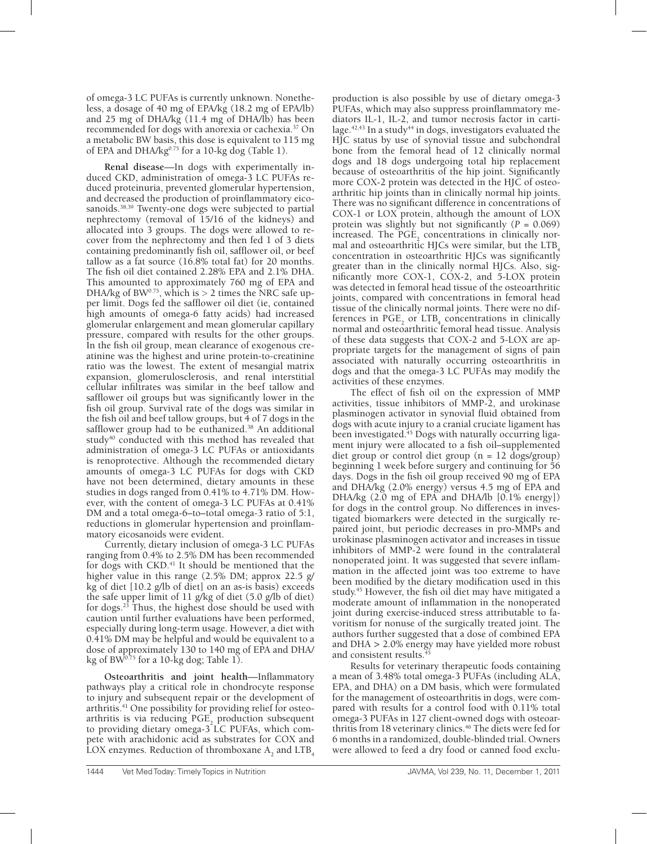of omega-3 LC PUFAs is currently unknown. Nonetheless, a dosage of 40 mg of EPA/kg (18.2 mg of EPA/lb) and 25 mg of DHA/kg (11.4 mg of DHA/lb) has been recommended for dogs with anorexia or cachexia.37 On a metabolic BW basis, this dose is equivalent to 115 mg of EPA and DHA/kg $^{0.75}$  for a 10-kg dog (Table 1).

**Renal disease**—In dogs with experimentally induced CKD, administration of omega-3 LC PUFAs reduced proteinuria, prevented glomerular hypertension, and decreased the production of proinflammatory eicosanoids.<sup>38,39</sup> Twenty-one dogs were subjected to partial nephrectomy (removal of 15/16 of the kidneys) and allocated into 3 groups. The dogs were allowed to recover from the nephrectomy and then fed 1 of 3 diets containing predominantly fish oil, safflower oil, or beef tallow as a fat source (16.8% total fat) for 20 months. The fish oil diet contained 2.28% EPA and 2.1% DHA. This amounted to approximately 760 mg of EPA and DHA/kg of BW<sup>0.75</sup>, which is  $> 2$  times the NRC safe upper limit. Dogs fed the safflower oil diet (ie, contained high amounts of omega-6 fatty acids) had increased glomerular enlargement and mean glomerular capillary pressure, compared with results for the other groups. In the fish oil group, mean clearance of exogenous creatinine was the highest and urine protein-to-creatinine ratio was the lowest. The extent of mesangial matrix expansion, glomerulosclerosis, and renal interstitial cellular infiltrates was similar in the beef tallow and safflower oil groups but was significantly lower in the fish oil group. Survival rate of the dogs was similar in the fish oil and beef tallow groups, but 4 of 7 dogs in the safflower group had to be euthanized.<sup>38</sup> An additional study $40$  conducted with this method has revealed that administration of omega-3 LC PUFAs or antioxidants is renoprotective. Although the recommended dietary amounts of omega-3 LC PUFAs for dogs with CKD have not been determined, dietary amounts in these studies in dogs ranged from 0.41% to 4.71% DM. However, with the content of omega-3 LC PUFAs at 0.41% DM and a total omega-6–to–total omega-3 ratio of 5:1, reductions in glomerular hypertension and proinflammatory eicosanoids were evident.

Currently, dietary inclusion of omega-3 LC PUFAs ranging from 0.4% to 2.5% DM has been recommended for dogs with CKD.<sup>41</sup> It should be mentioned that the higher value in this range (2.5% DM; approx 22.5 g/ kg of diet [10.2 g/lb of diet] on an as-is basis) exceeds the safe upper limit of 11 g/kg of diet (5.0 g/lb of diet) for dogs.<sup>23</sup> Thus, the highest dose should be used with caution until further evaluations have been performed, especially during long-term usage. However, a diet with 0.41% DM may be helpful and would be equivalent to a dose of approximately 130 to 140 mg of EPA and DHA/ kg of B $\hat{W}^{0.75}$  for a 10-kg dog; Table 1).

**Osteoarthritis and joint health**—Inflammatory pathways play a critical role in chondrocyte response to injury and subsequent repair or the development of arthritis.<sup>41</sup> One possibility for providing relief for osteoarthritis is via reducing  $PGE_2$  production subsequent to providing dietary omega-3 LC PUFAs, which compete with arachidonic acid as substrates for COX and LOX enzymes. Reduction of thromboxane  $A_2$  and  $LTB_4$ 

production is also possible by use of dietary omega-3 PUFAs, which may also suppress proinflammatory mediators IL-1, IL-2, and tumor necrosis factor in cartilage.<sup>42,43</sup> In a study<sup>44</sup> in dogs, investigators evaluated the HJC status by use of synovial tissue and subchondral bone from the femoral head of 12 clinically normal dogs and 18 dogs undergoing total hip replacement because of osteoarthritis of the hip joint. Significantly more COX-2 protein was detected in the HJC of osteoarthritic hip joints than in clinically normal hip joints. There was no significant difference in concentrations of COX-1 or LOX protein, although the amount of LOX protein was slightly but not significantly  $(P = 0.069)$ increased. The  $PGE_2$  concentrations in clinically normal and osteoarthritic HJCs were similar, but the  $LTB<sub>4</sub>$ concentration in osteoarthritic HJCs was significantly greater than in the clinically normal HJCs. Also, significantly more COX-1, COX-2, and 5-LOX protein was detected in femoral head tissue of the osteoarthritic joints, compared with concentrations in femoral head tissue of the clinically normal joints. There were no differences in  $PGE_2$  or  $LTB_4$  concentrations in clinically normal and osteoarthritic femoral head tissue. Analysis of these data suggests that COX-2 and 5-LOX are appropriate targets for the management of signs of pain associated with naturally occurring osteoarthritis in dogs and that the omega-3 LC PUFAs may modify the activities of these enzymes.

The effect of fish oil on the expression of MMP activities, tissue inhibitors of MMP-2, and urokinase plasminogen activator in synovial fluid obtained from dogs with acute injury to a cranial cruciate ligament has been investigated.<sup>45</sup> Dogs with naturally occurring ligament injury were allocated to a fish oil–supplemented diet group or control diet group ( $n = 12$  dogs/group) beginning 1 week before surgery and continuing for 56 days. Dogs in the fish oil group received 90 mg of EPA and DHA/kg (2.0% energy) versus 4.5 mg of EPA and DHA/kg (2.0 mg of EPA and DHA/lb [0.1% energy]) for dogs in the control group. No differences in investigated biomarkers were detected in the surgically repaired joint, but periodic decreases in pro-MMPs and urokinase plasminogen activator and increases in tissue inhibitors of MMP-2 were found in the contralateral nonoperated joint. It was suggested that severe inflammation in the affected joint was too extreme to have been modified by the dietary modification used in this study.45 However, the fish oil diet may have mitigated a moderate amount of inflammation in the nonoperated joint during exercise-induced stress attributable to favoritism for nonuse of the surgically treated joint. The authors further suggested that a dose of combined EPA and DHA > 2.0% energy may have yielded more robust and consistent results.

Results for veterinary therapeutic foods containing a mean of 3.48% total omega-3 PUFAs (including ALA, EPA, and DHA) on a DM basis, which were formulated for the management of osteoarthritis in dogs, were compared with results for a control food with 0.11% total omega-3 PUFAs in 127 client-owned dogs with osteoarthritis from 18 veterinary clinics.<sup>46</sup> The diets were fed for 6 months in a randomized, double-blinded trial. Owners were allowed to feed a dry food or canned food exclu-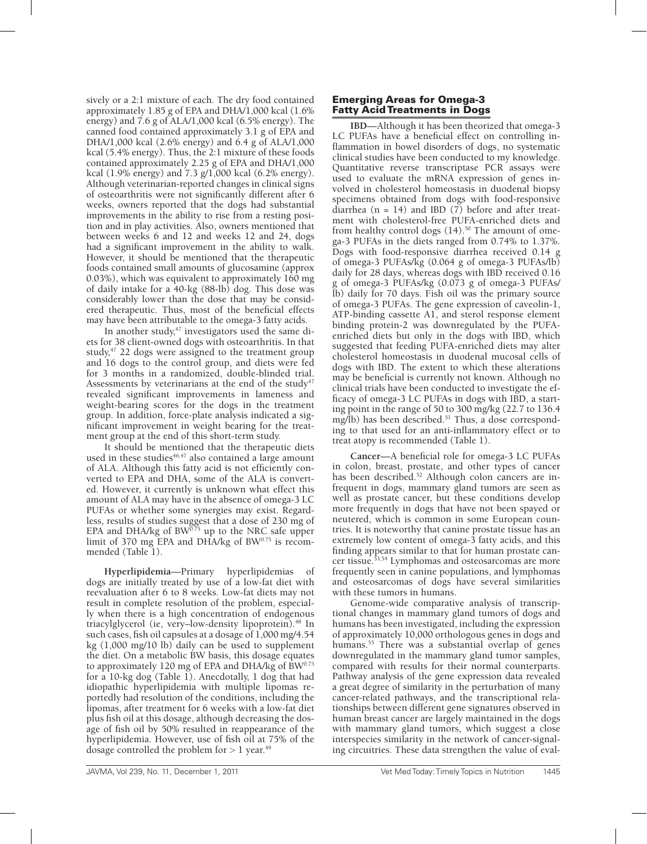sively or a 2:1 mixture of each. The dry food contained approximately 1.85 g of EPA and DHA/1,000 kcal (1.6% energy) and 7.6 g of ALA/1,000 kcal (6.5% energy). The canned food contained approximately 3.1 g of EPA and DHA/1,000 kcal (2.6% energy) and 6.4 g of ALA/1,000 kcal (5.4% energy). Thus, the 2:1 mixture of these foods contained approximately 2.25 g of EPA and DHA/1,000 kcal (1.9% energy) and 7.3 g/1,000 kcal (6.2% energy). Although veterinarian-reported changes in clinical signs of osteoarthritis were not significantly different after 6 weeks, owners reported that the dogs had substantial improvements in the ability to rise from a resting position and in play activities. Also, owners mentioned that between weeks 6 and 12 and weeks 12 and 24, dogs had a significant improvement in the ability to walk. However, it should be mentioned that the therapeutic foods contained small amounts of glucosamine (approx 0.03%), which was equivalent to approximately 160 mg of daily intake for a 40-kg (88-lb) dog. This dose was considerably lower than the dose that may be considered therapeutic. Thus, most of the beneficial effects may have been attributable to the omega-3 fatty acids.

In another study,<sup>47</sup> investigators used the same diets for 38 client-owned dogs with osteoarthritis. In that study,<sup>47</sup> 22 dogs were assigned to the treatment group and 16 dogs to the control group, and diets were fed for 3 months in a randomized, double-blinded trial. Assessments by veterinarians at the end of the study<sup>47</sup> revealed significant improvements in lameness and weight-bearing scores for the dogs in the treatment group. In addition, force-plate analysis indicated a significant improvement in weight bearing for the treatment group at the end of this short-term study.

It should be mentioned that the therapeutic diets used in these studies $46,47$  also contained a large amount of ALA. Although this fatty acid is not efficiently converted to EPA and DHA, some of the ALA is converted. However, it currently is unknown what effect this amount of ALA may have in the absence of omega-3 LC PUFAs or whether some synergies may exist. Regardless, results of studies suggest that a dose of 230 mg of EPA and DHA/kg of BW<sup>0.75</sup> up to the NRC safe upper limit of 370 mg EPA and DHA/kg of BW0.75 is recommended (Table 1).

**Hyperlipidemia**—Primary hyperlipidemias of dogs are initially treated by use of a low-fat diet with reevaluation after 6 to 8 weeks. Low-fat diets may not result in complete resolution of the problem, especially when there is a high concentration of endogenous triacylglycerol (ie, very-low-density lipoprotein).<sup>48</sup> In such cases, fish oil capsules at a dosage of 1,000 mg/4.54 kg (1,000 mg/10 lb) daily can be used to supplement the diet. On a metabolic BW basis, this dosage equates to approximately 120 mg of EPA and DHA/kg of BW0.75 for a 10-kg dog (Table 1). Anecdotally, 1 dog that had idiopathic hyperlipidemia with multiple lipomas reportedly had resolution of the conditions, including the lipomas, after treatment for 6 weeks with a low-fat diet plus fish oil at this dosage, although decreasing the dosage of fish oil by 50% resulted in reappearance of the hyperlipidemia. However, use of fish oil at 75% of the dosage controlled the problem for  $> 1$  year.<sup>49</sup>

#### Emerging Areas for Omega-3 Fatty Acid Treatments in Dogs

**IBD**—Although it has been theorized that omega-3 LC PUFAs have a beneficial effect on controlling inflammation in bowel disorders of dogs, no systematic clinical studies have been conducted to my knowledge. Quantitative reverse transcriptase PCR assays were used to evaluate the mRNA expression of genes involved in cholesterol homeostasis in duodenal biopsy specimens obtained from dogs with food-responsive diarrhea (n = 14) and IBD (7) before and after treatment with cholesterol-free PUFA-enriched diets and from healthy control dogs  $(14)$ .<sup>50</sup> The amount of omega-3 PUFAs in the diets ranged from 0.74% to 1.37%. Dogs with food-responsive diarrhea received 0.14 g of omega-3 PUFAs/kg (0.064 g of omega-3 PUFAs/lb) daily for 28 days, whereas dogs with IBD received 0.16 g of omega-3 PUFAs/kg (0.073 g of omega-3 PUFAs/ lb) daily for 70 days. Fish oil was the primary source of omega-3 PUFAs. The gene expression of caveolin-1, ATP-binding cassette A1, and sterol response element binding protein-2 was downregulated by the PUFAenriched diets but only in the dogs with IBD, which suggested that feeding PUFA-enriched diets may alter cholesterol homeostasis in duodenal mucosal cells of dogs with IBD. The extent to which these alterations may be beneficial is currently not known. Although no clinical trials have been conducted to investigate the efficacy of omega-3 LC PUFAs in dogs with IBD, a starting point in the range of 50 to 300 mg/kg (22.7 to 136.4 mg/lb) has been described.<sup>51</sup> Thus, a dose corresponding to that used for an anti-inflammatory effect or to treat atopy is recommended (Table 1).

**Cancer**—A beneficial role for omega-3 LC PUFAs in colon, breast, prostate, and other types of cancer has been described.<sup>52</sup> Although colon cancers are infrequent in dogs, mammary gland tumors are seen as well as prostate cancer, but these conditions develop more frequently in dogs that have not been spayed or neutered, which is common in some European countries. It is noteworthy that canine prostate tissue has an extremely low content of omega-3 fatty acids, and this finding appears similar to that for human prostate cancer tissue.<sup>53,54</sup> Lymphomas and osteosarcomas are more frequently seen in canine populations, and lymphomas and osteosarcomas of dogs have several similarities with these tumors in humans.

Genome-wide comparative analysis of transcriptional changes in mammary gland tumors of dogs and humans has been investigated, including the expression of approximately 10,000 orthologous genes in dogs and humans.<sup>55</sup> There was a substantial overlap of genes downregulated in the mammary gland tumor samples, compared with results for their normal counterparts. Pathway analysis of the gene expression data revealed a great degree of similarity in the perturbation of many cancer-related pathways, and the transcriptional relationships between different gene signatures observed in human breast cancer are largely maintained in the dogs with mammary gland tumors, which suggest a close interspecies similarity in the network of cancer-signaling circuitries. These data strengthen the value of eval-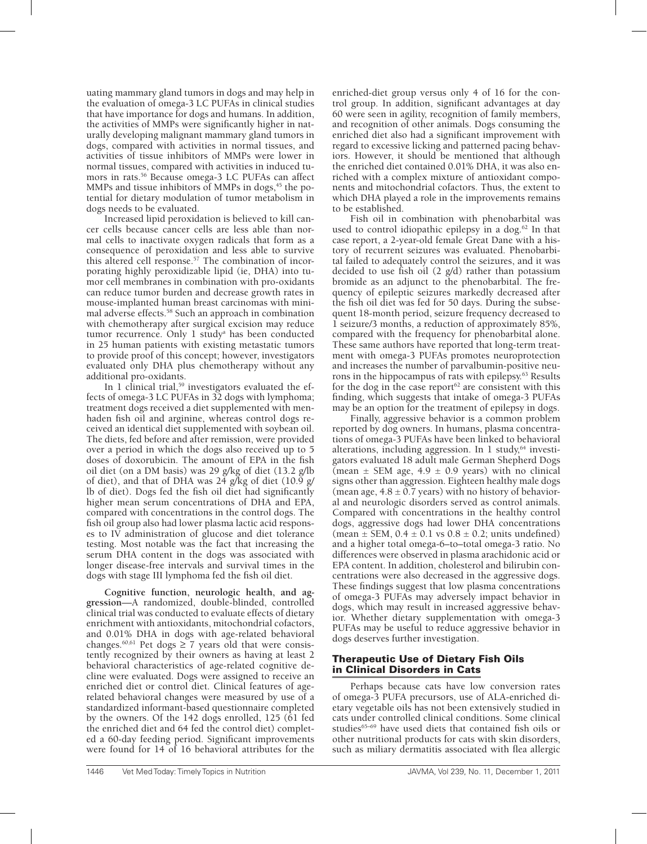uating mammary gland tumors in dogs and may help in the evaluation of omega-3 LC PUFAs in clinical studies that have importance for dogs and humans. In addition, the activities of MMPs were significantly higher in naturally developing malignant mammary gland tumors in dogs, compared with activities in normal tissues, and activities of tissue inhibitors of MMPs were lower in normal tissues, compared with activities in induced tumors in rats.<sup>56</sup> Because omega-3 LC PUFAs can affect MMPs and tissue inhibitors of MMPs in dogs,<sup>45</sup> the potential for dietary modulation of tumor metabolism in dogs needs to be evaluated.

Increased lipid peroxidation is believed to kill cancer cells because cancer cells are less able than normal cells to inactivate oxygen radicals that form as a consequence of peroxidation and less able to survive this altered cell response.<sup>57</sup> The combination of incorporating highly peroxidizable lipid (ie, DHA) into tumor cell membranes in combination with pro-oxidants can reduce tumor burden and decrease growth rates in mouse-implanted human breast carcinomas with minimal adverse effects.58 Such an approach in combination with chemotherapy after surgical excision may reduce tumor recurrence. Only 1 study<sup>a</sup> has been conducted in 25 human patients with existing metastatic tumors to provide proof of this concept; however, investigators evaluated only DHA plus chemotherapy without any additional pro-oxidants.

In 1 clinical trial,<sup>59</sup> investigators evaluated the effects of omega-3 LC PUFAs in 32 dogs with lymphoma; treatment dogs received a diet supplemented with menhaden fish oil and arginine, whereas control dogs received an identical diet supplemented with soybean oil. The diets, fed before and after remission, were provided over a period in which the dogs also received up to 5 doses of doxorubicin. The amount of EPA in the fish oil diet (on a DM basis) was 29 g/kg of diet (13.2 g/lb of diet), and that of DHA was 24 g/kg of diet (10.9 g/ lb of diet). Dogs fed the fish oil diet had significantly higher mean serum concentrations of DHA and EPA, compared with concentrations in the control dogs. The fish oil group also had lower plasma lactic acid responses to IV administration of glucose and diet tolerance testing. Most notable was the fact that increasing the serum DHA content in the dogs was associated with longer disease-free intervals and survival times in the dogs with stage III lymphoma fed the fish oil diet.

**Cognitive function, neurologic health, and aggression**—A randomized, double-blinded, controlled clinical trial was conducted to evaluate effects of dietary enrichment with antioxidants, mitochondrial cofactors, and 0.01% DHA in dogs with age-related behavioral changes.<sup>60,61</sup> Pet dogs  $\geq 7$  years old that were consistently recognized by their owners as having at least 2 behavioral characteristics of age-related cognitive decline were evaluated. Dogs were assigned to receive an enriched diet or control diet. Clinical features of agerelated behavioral changes were measured by use of a standardized informant-based questionnaire completed by the owners. Of the 142 dogs enrolled, 125 (61 fed the enriched diet and 64 fed the control diet) completed a 60-day feeding period. Significant improvements were found for 14 of 16 behavioral attributes for the

enriched-diet group versus only 4 of 16 for the control group. In addition, significant advantages at day 60 were seen in agility, recognition of family members, and recognition of other animals. Dogs consuming the enriched diet also had a significant improvement with regard to excessive licking and patterned pacing behaviors. However, it should be mentioned that although the enriched diet contained 0.01% DHA, it was also enriched with a complex mixture of antioxidant components and mitochondrial cofactors. Thus, the extent to which DHA played a role in the improvements remains to be established.

Fish oil in combination with phenobarbital was used to control idiopathic epilepsy in a dog. $62$  In that case report, a 2-year-old female Great Dane with a history of recurrent seizures was evaluated. Phenobarbital failed to adequately control the seizures, and it was decided to use fish oil (2 g/d) rather than potassium bromide as an adjunct to the phenobarbital. The frequency of epileptic seizures markedly decreased after the fish oil diet was fed for 50 days. During the subsequent 18-month period, seizure frequency decreased to 1 seizure/3 months, a reduction of approximately 85%, compared with the frequency for phenobarbital alone. These same authors have reported that long-term treatment with omega-3 PUFAs promotes neuroprotection and increases the number of parvalbumin-positive neurons in the hippocampus of rats with epilepsy.63 Results for the dog in the case report $62$  are consistent with this finding, which suggests that intake of omega-3 PUFAs may be an option for the treatment of epilepsy in dogs.

Finally, aggressive behavior is a common problem reported by dog owners. In humans, plasma concentrations of omega-3 PUFAs have been linked to behavioral alterations, including aggression. In 1 study, $64$  investigators evaluated 18 adult male German Shepherd Dogs (mean  $\pm$  SEM age, 4.9  $\pm$  0.9 years) with no clinical signs other than aggression. Eighteen healthy male dogs (mean age,  $4.8 \pm 0.7$  years) with no history of behavioral and neurologic disorders served as control animals. Compared with concentrations in the healthy control dogs, aggressive dogs had lower DHA concentrations (mean  $\pm$  SEM, 0.4  $\pm$  0.1 vs 0.8  $\pm$  0.2; units undefined) and a higher total omega-6–to–total omega-3 ratio. No differences were observed in plasma arachidonic acid or EPA content. In addition, cholesterol and bilirubin concentrations were also decreased in the aggressive dogs. These findings suggest that low plasma concentrations of omega-3 PUFAs may adversely impact behavior in dogs, which may result in increased aggressive behavior. Whether dietary supplementation with omega-3 PUFAs may be useful to reduce aggressive behavior in dogs deserves further investigation.

# Therapeutic Use of Dietary Fish Oils in Clinical Disorders in Cats

Perhaps because cats have low conversion rates of omega-3 PUFA precursors, use of ALA-enriched dietary vegetable oils has not been extensively studied in cats under controlled clinical conditions. Some clinical studies<sup>65-69</sup> have used diets that contained fish oils or other nutritional products for cats with skin disorders, such as miliary dermatitis associated with flea allergic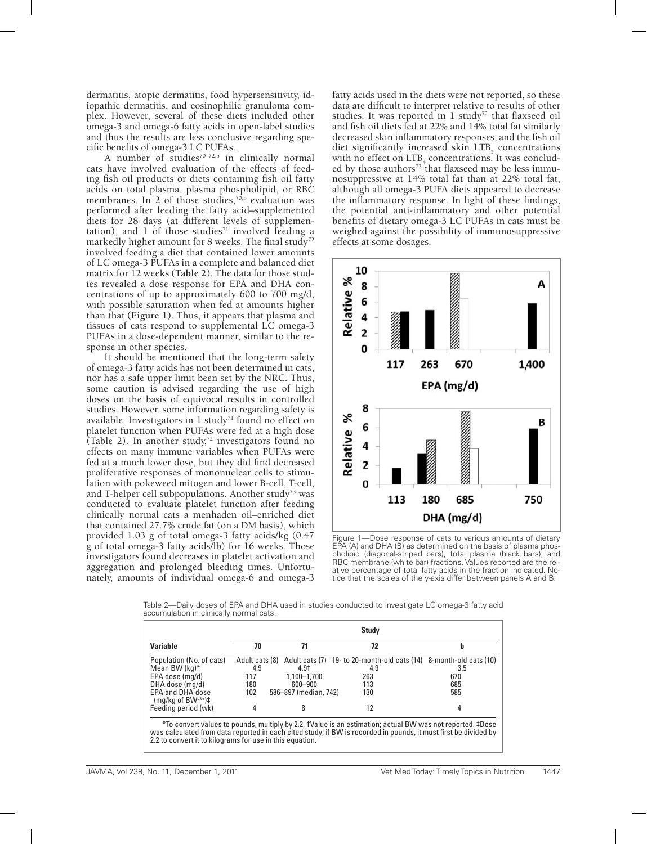dermatitis, atopic dermatitis, food hypersensitivity, idiopathic dermatitis, and eosinophilic granuloma complex. However, several of these diets included other omega-3 and omega-6 fatty acids in open-label studies and thus the results are less conclusive regarding specific benefits of omega-3 LC PUFAs.

A number of studies<sup> $70-72,b$ </sup> in clinically normal cats have involved evaluation of the effects of feeding fish oil products or diets containing fish oil fatty acids on total plasma, plasma phospholipid, or RBC membranes. In 2 of those studies,  $70$ , b evaluation was performed after feeding the fatty acid–supplemented diets for 28 days (at different levels of supplementation), and 1 of those studies<sup> $71$ </sup> involved feeding a markedly higher amount for 8 weeks. The final study<sup>72</sup> involved feeding a diet that contained lower amounts of LC omega-3 PUFAs in a complete and balanced diet matrix for 12 weeks **(Table 2)**. The data for those studies revealed a dose response for EPA and DHA concentrations of up to approximately 600 to 700 mg/d, with possible saturation when fed at amounts higher than that **(Figure 1)**. Thus, it appears that plasma and tissues of cats respond to supplemental LC omega-3 PUFAs in a dose-dependent manner, similar to the response in other species.

It should be mentioned that the long-term safety of omega-3 fatty acids has not been determined in cats, nor has a safe upper limit been set by the NRC. Thus, some caution is advised regarding the use of high doses on the basis of equivocal results in controlled studies. However, some information regarding safety is available. Investigators in  $1$  study<sup>71</sup> found no effect on platelet function when PUFAs were fed at a high dose (Table 2). In another study, $72$  investigators found no effects on many immune variables when PUFAs were fed at a much lower dose, but they did find decreased proliferative responses of mononuclear cells to stimulation with pokeweed mitogen and lower B-cell, T-cell, and T-helper cell subpopulations. Another study<sup>73</sup> was conducted to evaluate platelet function after feeding clinically normal cats a menhaden oil–enriched diet that contained 27.7% crude fat (on a DM basis), which provided 1.03 g of total omega-3 fatty acids/kg (0.47 g of total omega-3 fatty acids/lb) for 16 weeks. Those investigators found decreases in platelet activation and aggregation and prolonged bleeding times. Unfortunately, amounts of individual omega-6 and omega-3 fatty acids used in the diets were not reported, so these data are difficult to interpret relative to results of other studies. It was reported in 1 study<sup>72</sup> that flaxseed oil and fish oil diets fed at 22% and 14% total fat similarly decreased skin inflammatory responses, and the fish oil diet significantly increased skin  $LTB<sub>5</sub>$  concentrations with no effect on  $LTB_4$  concentrations. It was concluded by those authors<sup>72</sup> that flaxseed may be less immunosuppressive at 14% total fat than at 22% total fat, although all omega-3 PUFA diets appeared to decrease the inflammatory response. In light of these findings, the potential anti-inflammatory and other potential benefits of dietary omega-3 LC PUFAs in cats must be weighed against the possibility of immunosuppressive effects at some dosages.



Figure 1—Dose response of cats to various amounts of dietary EPA (A) and DHA (B) as determined on the basis of plasma phospholipid (diagonal-striped bars), total plasma (black bars), and RBC membrane (white bar) fractions. Values reported are the relative percentage of total fatty acids in the fraction indicated. Notice that the scales of the y-axis differ between panels A and B.

Table 2—Daily doses of EPA and DHA used in studies conducted to investigate LC omega-3 fatty acid accumulation in clinically normal cats.

|                                                                                                                                                                                                                                                                                          | <b>Study</b>                  |                                                              |                                                                                                                     |                               |  |  |
|------------------------------------------------------------------------------------------------------------------------------------------------------------------------------------------------------------------------------------------------------------------------------------------|-------------------------------|--------------------------------------------------------------|---------------------------------------------------------------------------------------------------------------------|-------------------------------|--|--|
| <b>Variable</b>                                                                                                                                                                                                                                                                          | 70                            | 71                                                           | 72                                                                                                                  | b                             |  |  |
| Population (No. of cats)<br>Mean BW (kg)*<br>EPA dose (ma/d)<br>DHA dose (mg/d)<br>EPA and DHA dose<br>$(mq/kg of BW0.67)$ #<br>Feeding period (wk)                                                                                                                                      | 4.9<br>117<br>180<br>102<br>4 | 4.9†<br>1.100-1.700<br>600-900<br>586-897 (median, 742)<br>8 | Adult cats (8) Adult cats (7) 19- to 20-month-old cats (14) 8-month-old cats (10)<br>4.9<br>263<br>113<br>130<br>12 | 3.5<br>670<br>685<br>585<br>4 |  |  |
| *To convert values to pounds, multiply by 2.2. †Value is an estimation; actual BW was not reported. ‡Dose<br>was calculated from data reported in each cited study; if BW is recorded in pounds, it must first be divided by<br>2.2 to convert it to kilograms for use in this equation. |                               |                                                              |                                                                                                                     |                               |  |  |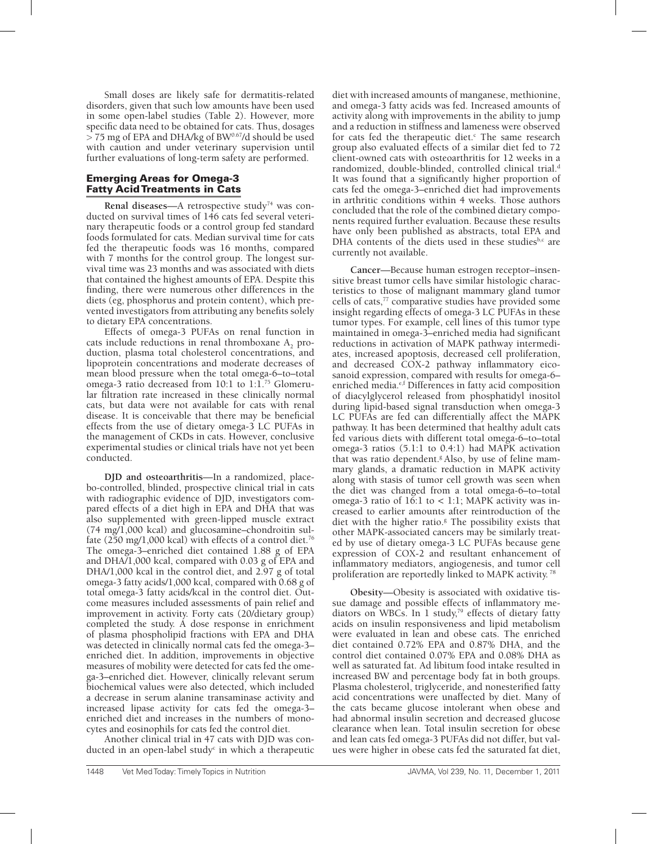Small doses are likely safe for dermatitis-related disorders, given that such low amounts have been used in some open-label studies (Table 2). However, more specific data need to be obtained for cats. Thus, dosages  $> 75$  mg of EPA and DHA/kg of BW<sup>0.67</sup>/d should be used with caution and under veterinary supervision until further evaluations of long-term safety are performed.

#### Emerging Areas for Omega-3 Fatty Acid Treatments in Cats

Renal diseases—A retrospective study<sup>74</sup> was conducted on survival times of 146 cats fed several veterinary therapeutic foods or a control group fed standard foods formulated for cats. Median survival time for cats fed the therapeutic foods was 16 months, compared with 7 months for the control group. The longest survival time was 23 months and was associated with diets that contained the highest amounts of EPA. Despite this finding, there were numerous other differences in the diets (eg, phosphorus and protein content), which prevented investigators from attributing any benefits solely to dietary EPA concentrations.

Effects of omega-3 PUFAs on renal function in  $\alpha$  cats include reductions in renal thromboxane  $A_2$  production, plasma total cholesterol concentrations, and lipoprotein concentrations and moderate decreases of mean blood pressure when the total omega-6–to–total omega-3 ratio decreased from 10:1 to 1:1.<sup>75</sup> Glomerular filtration rate increased in these clinically normal cats, but data were not available for cats with renal disease. It is conceivable that there may be beneficial effects from the use of dietary omega-3 LC PUFAs in the management of CKDs in cats. However, conclusive experimental studies or clinical trials have not yet been conducted.

**DJD and osteoarthritis**—In a randomized, placebo-controlled, blinded, prospective clinical trial in cats with radiographic evidence of DJD, investigators compared effects of a diet high in EPA and DHA that was also supplemented with green-lipped muscle extract (74 mg/1,000 kcal) and glucosamine–chondroitin sulfate (250 mg/1,000 kcal) with effects of a control diet.<sup>76</sup> The omega-3–enriched diet contained 1.88 g of EPA and DHA/1,000 kcal, compared with 0.03 g of EPA and DHA/1,000 kcal in the control diet, and 2.97 g of total omega-3 fatty acids/1,000 kcal, compared with 0.68 g of total omega-3 fatty acids/kcal in the control diet. Outcome measures included assessments of pain relief and improvement in activity. Forty cats (20/dietary group) completed the study. A dose response in enrichment of plasma phospholipid fractions with EPA and DHA was detected in clinically normal cats fed the omega-3– enriched diet. In addition, improvements in objective measures of mobility were detected for cats fed the omega-3–enriched diet. However, clinically relevant serum biochemical values were also detected, which included a decrease in serum alanine transaminase activity and increased lipase activity for cats fed the omega-3– enriched diet and increases in the numbers of monocytes and eosinophils for cats fed the control diet.

Another clinical trial in 47 cats with DJD was conducted in an open-label study<sup>c</sup> in which a therapeutic diet with increased amounts of manganese, methionine, and omega-3 fatty acids was fed. Increased amounts of activity along with improvements in the ability to jump and a reduction in stiffness and lameness were observed for cats fed the therapeutic diet.<sup>c</sup> The same research group also evaluated effects of a similar diet fed to 72 client-owned cats with osteoarthritis for 12 weeks in a randomized, double-blinded, controlled clinical trial.<sup>d</sup> It was found that a significantly higher proportion of cats fed the omega-3–enriched diet had improvements in arthritic conditions within 4 weeks. Those authors concluded that the role of the combined dietary components required further evaluation. Because these results have only been published as abstracts, total EPA and DHA contents of the diets used in these studies $b,c$  are currently not available.

**Cancer**—Because human estrogen receptor–insensitive breast tumor cells have similar histologic characteristics to those of malignant mammary gland tumor cells of cats,<sup>77</sup> comparative studies have provided some insight regarding effects of omega-3 LC PUFAs in these tumor types. For example, cell lines of this tumor type maintained in omega-3–enriched media had significant reductions in activation of MAPK pathway intermediates, increased apoptosis, decreased cell proliferation, and decreased COX-2 pathway inflammatory eicosanoid expression, compared with results for omega-6– enriched media.<sup>e,f</sup> Differences in fatty acid composition of diacylglycerol released from phosphatidyl inositol during lipid-based signal transduction when omega-3 LC PUFAs are fed can differentially affect the MAPK pathway. It has been determined that healthy adult cats fed various diets with different total omega-6–to–total omega-3 ratios (5.1:1 to 0.4:1) had MAPK activation that was ratio dependent.<sup>g</sup> Also, by use of feline mammary glands, a dramatic reduction in MAPK activity along with stasis of tumor cell growth was seen when the diet was changed from a total omega-6–to–total omega-3 ratio of  $16:1$  to < 1:1; MAPK activity was increased to earlier amounts after reintroduction of the diet with the higher ratio.<sup>8</sup> The possibility exists that other MAPK-associated cancers may be similarly treated by use of dietary omega-3 LC PUFAs because gene expression of COX-2 and resultant enhancement of inflammatory mediators, angiogenesis, and tumor cell proliferation are reportedly linked to MAPK activity. 78

**Obesity**—Obesity is associated with oxidative tissue damage and possible effects of inflammatory mediators on WBCs. In 1 study,<sup>79</sup> effects of dietary fatty acids on insulin responsiveness and lipid metabolism were evaluated in lean and obese cats. The enriched diet contained 0.72% EPA and 0.87% DHA, and the control diet contained 0.07% EPA and 0.08% DHA as well as saturated fat. Ad libitum food intake resulted in increased BW and percentage body fat in both groups. Plasma cholesterol, triglyceride, and nonesterified fatty acid concentrations were unaffected by diet. Many of the cats became glucose intolerant when obese and had abnormal insulin secretion and decreased glucose clearance when lean. Total insulin secretion for obese and lean cats fed omega-3 PUFAs did not differ, but values were higher in obese cats fed the saturated fat diet,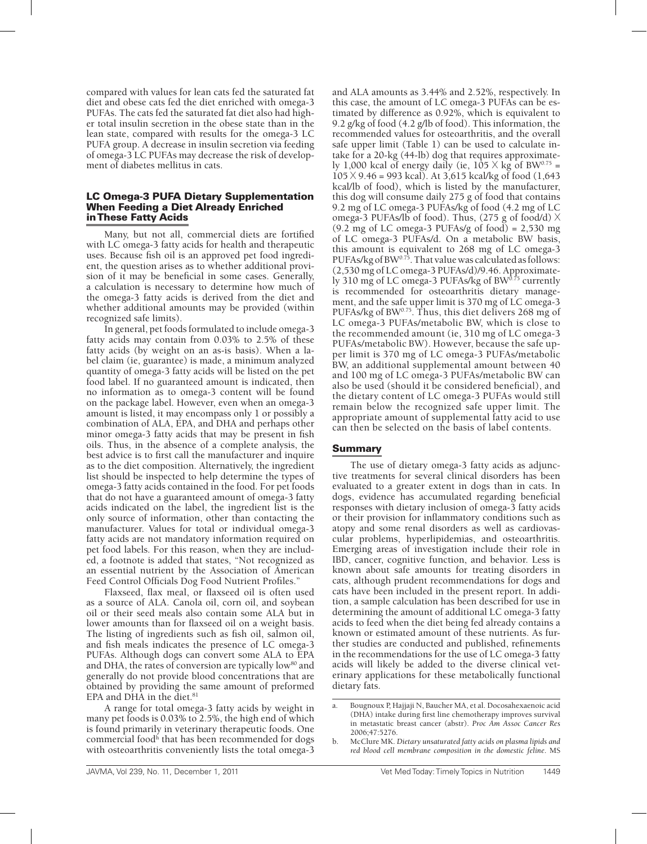compared with values for lean cats fed the saturated fat diet and obese cats fed the diet enriched with omega-3 PUFAs. The cats fed the saturated fat diet also had higher total insulin secretion in the obese state than in the lean state, compared with results for the omega-3 LC PUFA group. A decrease in insulin secretion via feeding of omega-3 LC PUFAs may decrease the risk of development of diabetes mellitus in cats.

#### LC Omega-3 PUFA Dietary Supplementation When Feeding a Diet Already Enriched in These Fatty Acids

Many, but not all, commercial diets are fortified with LC omega-3 fatty acids for health and therapeutic uses. Because fish oil is an approved pet food ingredient, the question arises as to whether additional provision of it may be beneficial in some cases. Generally, a calculation is necessary to determine how much of the omega-3 fatty acids is derived from the diet and whether additional amounts may be provided (within recognized safe limits).

In general, pet foods formulated to include omega-3 fatty acids may contain from 0.03% to 2.5% of these fatty acids (by weight on an as-is basis). When a label claim (ie, guarantee) is made, a minimum analyzed quantity of omega-3 fatty acids will be listed on the pet food label. If no guaranteed amount is indicated, then no information as to omega-3 content will be found on the package label. However, even when an omega-3 amount is listed, it may encompass only 1 or possibly a combination of ALA, EPA, and DHA and perhaps other minor omega-3 fatty acids that may be present in fish oils. Thus, in the absence of a complete analysis, the best advice is to first call the manufacturer and inquire as to the diet composition. Alternatively, the ingredient list should be inspected to help determine the types of omega-3 fatty acids contained in the food. For pet foods that do not have a guaranteed amount of omega-3 fatty acids indicated on the label, the ingredient list is the only source of information, other than contacting the manufacturer. Values for total or individual omega-3 fatty acids are not mandatory information required on pet food labels. For this reason, when they are included, a footnote is added that states, "Not recognized as an essential nutrient by the Association of American Feed Control Officials Dog Food Nutrient Profiles."

Flaxseed, flax meal, or flaxseed oil is often used as a source of ALA. Canola oil, corn oil, and soybean oil or their seed meals also contain some ALA but in lower amounts than for flaxseed oil on a weight basis. The listing of ingredients such as fish oil, salmon oil, and fish meals indicates the presence of LC omega-3 PUFAs. Although dogs can convert some ALA to EPA and DHA, the rates of conversion are typically low<sup>80</sup> and generally do not provide blood concentrations that are obtained by providing the same amount of preformed EPA and DHA in the diet.<sup>81</sup>

A range for total omega-3 fatty acids by weight in many pet foods is 0.03% to 2.5%, the high end of which is found primarily in veterinary therapeutic foods. One commercial food<sup>h</sup> that has been recommended for dogs with osteoarthritis conveniently lists the total omega-3

and ALA amounts as 3.44% and 2.52%, respectively. In this case, the amount of LC omega-3 PUFAs can be estimated by difference as 0.92%, which is equivalent to 9.2 g/kg of food (4.2 g/lb of food). This information, the recommended values for osteoarthritis, and the overall safe upper limit (Table 1) can be used to calculate intake for a 20-kg (44-lb) dog that requires approximately 1,000 kcal of energy daily (ie,  $105 \times kg$  of BW<sup>0.75</sup> =  $105 \times 9.46 = 993$  kcal). At 3,615 kcal/kg of food (1,643) kcal/lb of food), which is listed by the manufacturer, this dog will consume daily 275 g of food that contains 9.2 mg of LC omega-3 PUFAs/kg of food (4.2 mg of LC omega-3 PUFAs/lb of food). Thus,  $(275 \text{ g of food/d}) \times$  $(9.2 \text{ mg of LComega} - 3 \text{ PUFAs/g of food}) = 2,530 \text{ mg}$ of LC omega-3 PUFAs/d. On a metabolic BW basis, this amount is equivalent to 268 mg of LC omega-3 PUFAs/kg of BW $^{0.75}$ . That value was calculated as follows: (2,530 mg of LC omega-3 PUFAs/d)/9.46. Approximately 310 mg of LC omega-3 PUFAs/kg of BW $^{\tilde{0}.\tilde{7}5}$  currently is recommended for osteoarthritis dietary management, and the safe upper limit is 370 mg of LC omega-3 PUFAs/kg of BW $^{0.75}$ . Thus, this diet delivers 268 mg of LC omega-3 PUFAs/metabolic BW, which is close to the recommended amount (ie, 310 mg of LC omega-3 PUFAs/metabolic BW). However, because the safe upper limit is 370 mg of LC omega-3 PUFAs/metabolic BW, an additional supplemental amount between 40 and 100 mg of LC omega-3 PUFAs/metabolic BW can also be used (should it be considered beneficial), and the dietary content of LC omega-3 PUFAs would still remain below the recognized safe upper limit. The appropriate amount of supplemental fatty acid to use can then be selected on the basis of label contents.

# Summary

The use of dietary omega-3 fatty acids as adjunctive treatments for several clinical disorders has been evaluated to a greater extent in dogs than in cats. In dogs, evidence has accumulated regarding beneficial responses with dietary inclusion of omega-3 fatty acids or their provision for inflammatory conditions such as atopy and some renal disorders as well as cardiovascular problems, hyperlipidemias, and osteoarthritis. Emerging areas of investigation include their role in IBD, cancer, cognitive function, and behavior. Less is known about safe amounts for treating disorders in cats, although prudent recommendations for dogs and cats have been included in the present report. In addition, a sample calculation has been described for use in determining the amount of additional LC omega-3 fatty acids to feed when the diet being fed already contains a known or estimated amount of these nutrients. As further studies are conducted and published, refinements in the recommendations for the use of LC omega-3 fatty acids will likely be added to the diverse clinical veterinary applications for these metabolically functional dietary fats.

a. Bougnoux P, Hajjaji N, Baucher MA, et al. Docosahexaenoic acid (DHA) intake during first line chemotherapy improves survival in metastatic breast cancer (abstr). *Proc Am Assoc Cancer Res* 2006;47:5276.

b. McClure MK. *Dietary unsaturated fatty acids on plasma lipids and red blood cell membrane composition in the domestic feline*. MS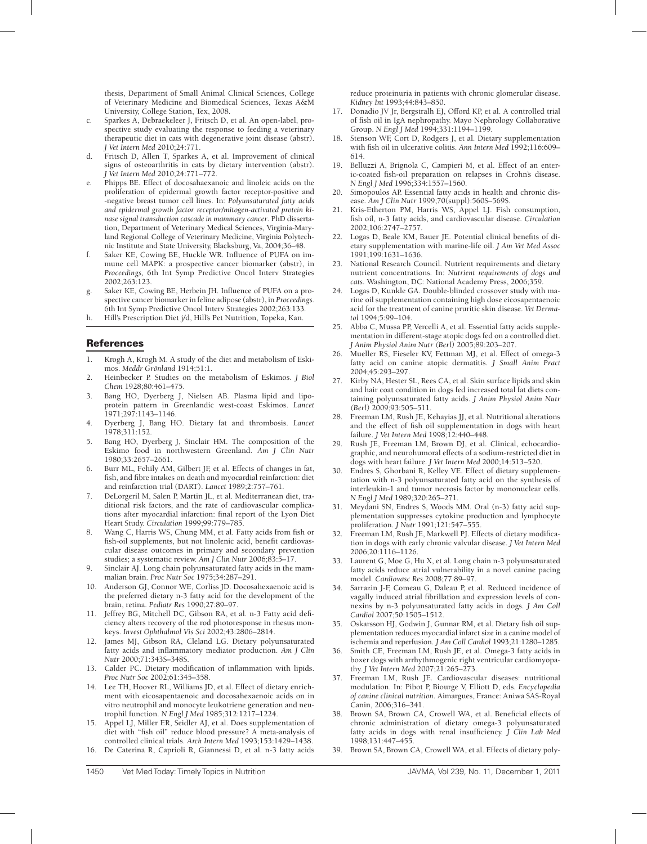thesis, Department of Small Animal Clinical Sciences, College of Veterinary Medicine and Biomedical Sciences, Texas A&M University, College Station, Tex, 2008.

- c. Sparkes A, Debraekeleer J, Fritsch D, et al. An open-label, prospective study evaluating the response to feeding a veterinary therapeutic diet in cats with degenerative joint disease (abstr). *J Vet Intern Med* 2010;24:771.
- d. Fritsch D, Allen T, Sparkes A, et al. Improvement of clinical signs of osteoarthritis in cats by dietary intervention (abstr). *J Vet Intern Med* 2010;24:771–772.
- e. Phipps BE. Effect of docosahaexanoic and linoleic acids on the proliferation of epidermal growth factor receptor-positive and -negative breast tumor cell lines. In: *Polyunsaturated fatty acids and epidermal growth factor receptor/mitogen-activated protein kinase signal transduction cascade in mammary cancer*. PhD dissertation, Department of Veterinary Medical Sciences, Virginia-Maryland Regional College of Veterinary Medicine, Virginia Polytechnic Institute and State University, Blacksburg, Va, 2004;36–48.
- f. Saker KE, Cowing BE, Huckle WR. Influence of PUFA on immune cell MAPK: a prospective cancer biomarker (abstr), in *Proceedings,* 6th Int Symp Predictive Oncol Interv Strategies 2002;263:123.
- g. Saker KE, Cowing BE, Herbein JH. Influence of PUFA on a prospective cancer biomarker in feline adipose (abstr)**,** in *Proceedings.*  6th Int Symp Predictive Oncol Interv Strategies 2002;263:133.
- h. Hill's Prescription Diet j/d, Hill's Pet Nutrition, Topeka, Kan.

#### References

- 1. Krogh A, Krogh M. A study of the diet and metabolism of Eskimos. *Meddr Grönland* 1914;51:1.
- 2. Heinbecker P. Studies on the metabolism of Eskimos. *J Biol Chem* 1928;80:461–475.
- 3. Bang HO, Dyerberg J, Nielsen AB. Plasma lipid and lipoprotein pattern in Greenlandic west-coast Eskimos. *Lancet* 1971;297:1143–1146.
- 4. Dyerberg J, Bang HO. Dietary fat and thrombosis. *Lancet* 1978;311:152.
- 5. Bang HO, Dyerberg J, Sinclair HM. The composition of the Eskimo food in northwestern Greenland. *Am J Clin Nutr* 1980;33:2657–2661.
- 6. Burr ML, Fehily AM, Gilbert JF, et al. Effects of changes in fat, fish, and fibre intakes on death and myocardial reinfarction: diet and reinfarction trial (DART). *Lancet* 1989;2:757–761.
- 7. DeLorgeril M, Salen P, Martin JL, et al. Mediterranean diet, traditional risk factors, and the rate of cardiovascular complications after myocardial infarction: final report of the Lyon Diet Heart Study. *Circulation* 1999;99:779–785.
- 8. Wang C, Harris WS, Chung MM, et al. Fatty acids from fish or fish-oil supplements, but not linolenic acid, benefit cardiovascular disease outcomes in primary and secondary prevention studies; a systematic review. *Am J Clin Nutr* 2006;83:5–17.
- 9. Sinclair AJ. Long chain polyunsaturated fatty acids in the mammalian brain. *Proc Nutr Soc* 1975;34:287–291.
- 10. Anderson GJ, Connor WE, Corliss JD. Docosahexaenoic acid is the preferred dietary n-3 fatty acid for the development of the brain, retina. *Pediatr Res* 1990;27:89–97.
- 11. Jeffrey BG, Mitchell DC, Gibson RA, et al. n-3 Fatty acid deficiency alters recovery of the rod photoresponse in rhesus monkeys. *Invest Ophthalmol Vis Sci* 2002;43:2806–2814.
- 12. James MJ, Gibson RA, Cleland LG. Dietary polyunsaturated fatty acids and inflammatory mediator production. *Am J Clin Nutr* 2000;71:343S–348S.
- 13. Calder PC. Dietary modification of inflammation with lipids. *Proc Nutr Soc* 2002;61:345–358.
- 14. Lee TH, Hoover RL, Williams JD, et al. Effect of dietary enrichment with eicosapentaenoic and docosahexaenoic acids on in vitro neutrophil and monocyte leukotriene generation and neutrophil function. *N Engl J Med* 1985;312:1217–1224.
- 15. Appel LJ, Miller ER, Seidler AJ, et al. Does supplementation of diet with "fish oil" reduce blood pressure? A meta-analysis of controlled clinical trials. *Arch Intern Med* 1993;153:1429–1438. 16. De Caterina R, Caprioli R, Giannessi D, et al. n-3 fatty acids

reduce proteinuria in patients with chronic glomerular disease. *Kidney Int* 1993;44:843–850.

- 17. Donadio JV Jr, Bergstralh EJ, Offord KP, et al. A controlled trial of fish oil in IgA nephropathy. Mayo Nephrology Collaborative Group. *N Engl J Med* 1994;331:1194–1199.
- 18. Stenson WF, Cort D, Rodgers J, et al. Dietary supplementation with fish oil in ulcerative colitis. *Ann Intern Med* 1992;116:609– 614.
- 19. Belluzzi A, Brignola C, Campieri M, et al. Effect of an enteric-coated fish-oil preparation on relapses in Crohn's disease. *N Engl J Med* 1996;334:1557–1560.
- Simopoulos AP. Essential fatty acids in health and chronic disease. *Am J Clin Nutr* 1999;70(suppl):560S–569S.
- 21. Kris-Etherton PM, Harris WS, Appel LJ. Fish consumption, fish oil, n-3 fatty acids, and cardiovascular disease. *Circulation* 2002;106:2747–2757.
- 22. Logas D, Beale KM, Bauer JE. Potential clinical benefits of dietary supplementation with marine-life oil. *J Am Vet Med Assoc* 1991;199:1631–1636.
- 23. National Research Council. Nutrient requirements and dietary nutrient concentrations. In: *Nutrient requirements of dogs and cats*. Washington, DC: National Academy Press, 2006;359.
- Logas D, Kunkle GA. Double-blinded crossover study with marine oil supplementation containing high dose eicosapentaenoic acid for the treatment of canine pruritic skin disease. *Vet Dermatol* 1994;5:99–104.
- 25. Abba C, Mussa PP, Vercelli A, et al. Essential fatty acids supplementation in different-stage atopic dogs fed on a controlled diet. *J Anim Physiol Anim Nutr (Berl)* 2005;89:203–207.
- 26. Mueller RS, Fieseler KV, Fettman MJ, et al. Effect of omega-3 fatty acid on canine atopic dermatitis. *J Small Anim Pract* 2004;45:293–297.
- 27. Kirby NA, Hester SL, Rees CA, et al. Skin surface lipids and skin and hair coat condition in dogs fed increased total fat diets containing polyunsaturated fatty acids. *J Anim Physiol Anim Nutr (Berl)* 2009;93:505–511.
- 28. Freeman LM, Rush JE, Kehavias JJ, et al. Nutritional alterations and the effect of fish oil supplementation in dogs with heart failure. *J Vet Intern Med* 1998;12:440–448.
- 29. Rush JE, Freeman LM, Brown DJ, et al. Clinical, echocardiographic, and neurohumoral effects of a sodium-restricted diet in dogs with heart failure. *J Vet Intern Med* 2000;14:513–520.
- 30. Endres S, Ghorbani R, Kelley VE. Effect of dietary supplementation with n-3 polyunsaturated fatty acid on the synthesis of interleukin-1 and tumor necrosis factor by mononuclear cells. *N Engl J Med* 1989;320:265–271.
- 31. Meydani SN, Endres S, Woods MM. Oral (n-3) fatty acid supplementation suppresses cytokine production and lymphocyte proliferation. *J Nutr* 1991;121:547–555.
- 32. Freeman LM, Rush JE, Markwell PJ. Effects of dietary modification in dogs with early chronic valvular disease. *J Vet Intern Med* 2006;20:1116–1126.
- 33. Laurent G, Moe G, Hu X, et al. Long chain n-3 polyunsaturated fatty acids reduce atrial vulnerability in a novel canine pacing model. *Cardiovasc Res* 2008;77:89–97.
- 34. Sarrazin J-F, Comeau G, Daleau P, et al. Reduced incidence of vagally induced atrial fibrillation and expression levels of connexins by n-3 polyunsaturated fatty acids in dogs. *J Am Coll Cardiol* 2007;50:1505–1512.
- 35. Oskarsson HJ, Godwin J, Gunnar RM, et al. Dietary fish oil supplementation reduces myocardial infarct size in a canine model of ischemia and reperfusion. *J Am Coll Cardiol* 1993;21:1280–1285.
- 36. Smith CE, Freeman LM, Rush JE, et al. Omega-3 fatty acids in boxer dogs with arrhythmogenic right ventricular cardiomyopathy. *J Vet Intern Med* 2007;21:265–273.
- 37. Freeman LM, Rush JE. Cardiovascular diseases: nutritional modulation. In: Pibot P, Biourge V, Elliott D, eds. *Encyclopedia of canine clinical nutrition*. Aimargues, France: Aniwa SAS-Royal Canin, 2006;316–341.
- 38. Brown SA, Brown CA, Crowell WA, et al. Beneficial effects of chronic administration of dietary omega-3 polyunsaturated fatty acids in dogs with renal insufficiency. *J Clin Lab Med* 1998;131:447–455.
- 39. Brown SA, Brown CA, Crowell WA, et al. Effects of dietary poly-